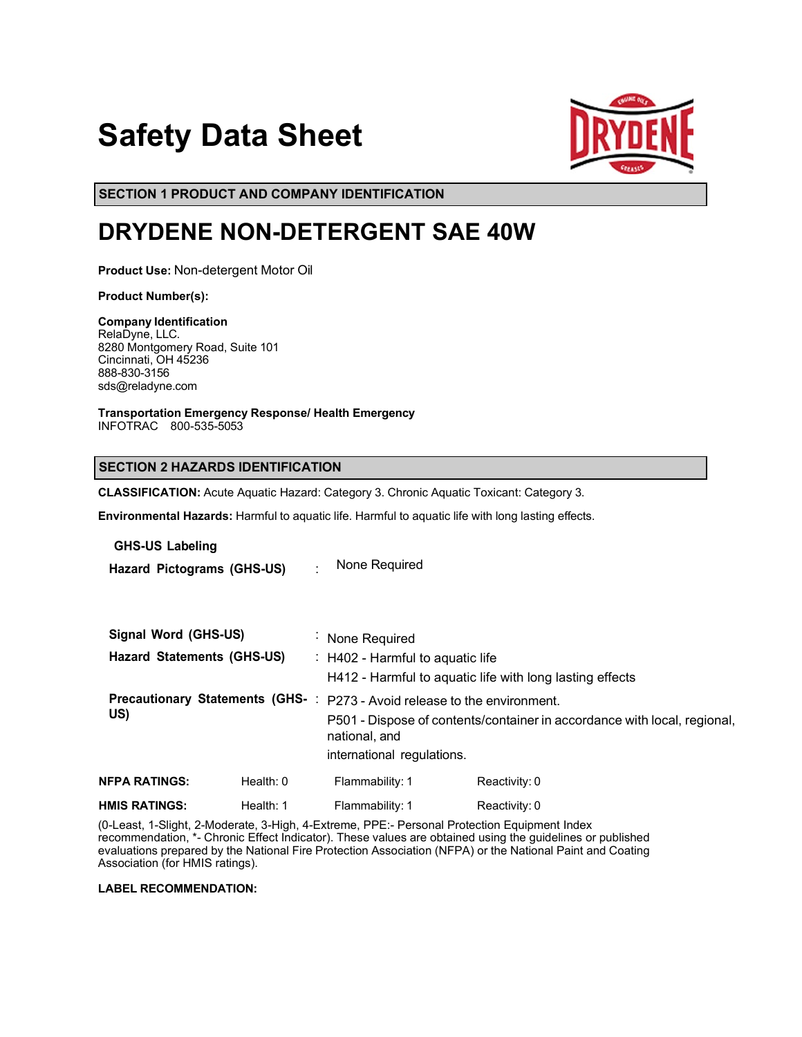# **Safety Data Sheet**



**SECTION 1 PRODUCT AND COMPANY IDENTIFICATION**

# **DRYDENE NON-DETERGENT SAE 40W**

**Product Use:** Non-detergent Motor Oil

**Product Number(s):** 

**Company Identification** RelaDyne, LLC. 8280 Montgomery Road, Suite 101 Cincinnati, OH 45236 888-830-3156 sds@reladyne.com

**Transportation Emergency Response/ Health Emergency** INFOTRAC 800-535-5053

### **SECTION 2 HAZARDS IDENTIFICATION**

**CLASSIFICATION:** Acute Aquatic Hazard: Category 3. Chronic Aquatic Toxicant: Category 3.

**Environmental Hazards:** Harmful to aquatic life. Harmful to aquatic life with long lasting effects.

### **GHS-US Labeling**

**Hazard Pictograms (GHS-US)** : None Required

| Signal Word (GHS-US)<br><b>Hazard Statements (GHS-US)</b> |             | : None Required<br>$\therefore$ H402 - Harmful to aquatic life<br>H412 - Harmful to aquatic life with long lasting effects                                                                          |               |  |
|-----------------------------------------------------------|-------------|-----------------------------------------------------------------------------------------------------------------------------------------------------------------------------------------------------|---------------|--|
| US)                                                       |             | Precautionary Statements (GHS-: P273 - Avoid release to the environment.<br>P501 - Dispose of contents/container in accordance with local, regional,<br>national, and<br>international regulations. |               |  |
| <b>NFPA RATINGS:</b>                                      | Health: $0$ | Flammability: 1                                                                                                                                                                                     | Reactivity: 0 |  |
| <b>HMIS RATINGS:</b>                                      | Health: 1   | Flammability: 1                                                                                                                                                                                     | Reactivity: 0 |  |

(0-Least, 1-Slight, 2-Moderate, 3-High, 4-Extreme, PPE:- Personal Protection Equipment Index recommendation, \*- Chronic Effect Indicator). These values are obtained using the guidelines or published evaluations prepared by the National Fire Protection Association (NFPA) or the National Paint and Coating Association (for HMIS ratings).

**LABEL RECOMMENDATION:**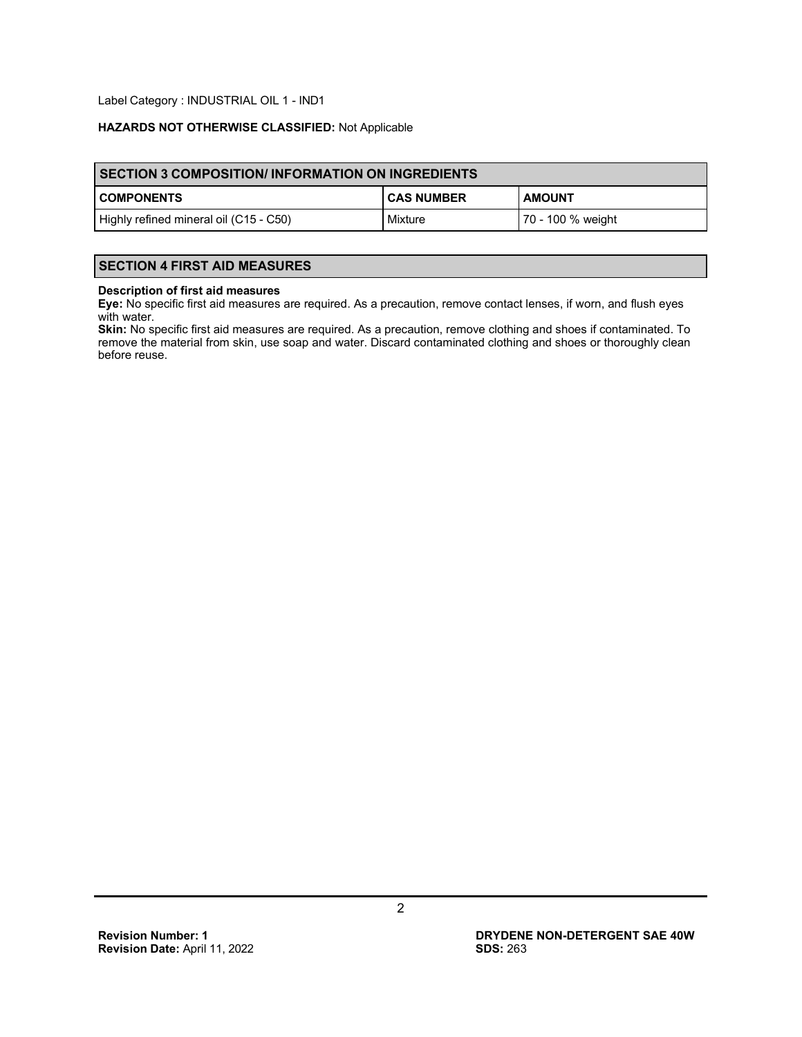Label Category : INDUSTRIAL OIL 1 - IND1

### **HAZARDS NOT OTHERWISE CLASSIFIED:** Not Applicable

| SECTION 3 COMPOSITION/INFORMATION ON INGREDIENTS |                   |                   |  |  |
|--------------------------------------------------|-------------------|-------------------|--|--|
| <b>COMPONENTS</b>                                | <b>CAS NUMBER</b> | <b>AMOUNT</b>     |  |  |
| Highly refined mineral oil (C15 - C50)           | Mixture           | 70 - 100 % weight |  |  |

# **SECTION 4 FIRST AID MEASURES**

#### **Description of first aid measures**

**Eye:** No specific first aid measures are required. As a precaution, remove contact lenses, if worn, and flush eyes with water.

**Skin:** No specific first aid measures are required. As a precaution, remove clothing and shoes if contaminated. To remove the material from skin, use soap and water. Discard contaminated clothing and shoes or thoroughly clean before reuse.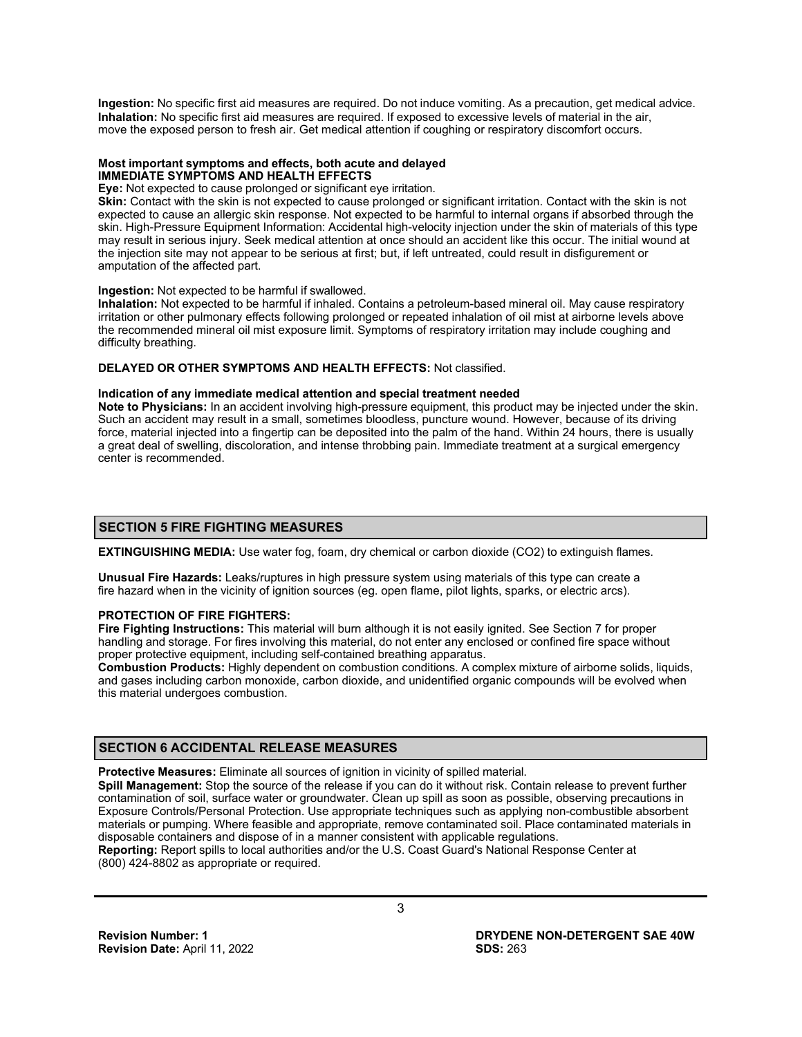**Ingestion:** No specific first aid measures are required. Do not induce vomiting. As a precaution, get medical advice. **Inhalation:** No specific first aid measures are required. If exposed to excessive levels of material in the air, move the exposed person to fresh air. Get medical attention if coughing or respiratory discomfort occurs.

#### **Most important symptoms and effects, both acute and delayed IMMEDIATE SYMPTOMS AND HEALTH EFFECTS**

**Eye:** Not expected to cause prolonged or significant eye irritation.

**Skin:** Contact with the skin is not expected to cause prolonged or significant irritation. Contact with the skin is not expected to cause an allergic skin response. Not expected to be harmful to internal organs if absorbed through the skin. High-Pressure Equipment Information: Accidental high-velocity injection under the skin of materials of this type may result in serious injury. Seek medical attention at once should an accident like this occur. The initial wound at the injection site may not appear to be serious at first; but, if left untreated, could result in disfigurement or amputation of the affected part.

#### **Ingestion:** Not expected to be harmful if swallowed.

**Inhalation:** Not expected to be harmful if inhaled. Contains a petroleum-based mineral oil. May cause respiratory irritation or other pulmonary effects following prolonged or repeated inhalation of oil mist at airborne levels above the recommended mineral oil mist exposure limit. Symptoms of respiratory irritation may include coughing and difficulty breathing.

#### **DELAYED OR OTHER SYMPTOMS AND HEALTH EFFECTS:** Not classified.

#### **Indication of any immediate medical attention and special treatment needed**

**Note to Physicians:** In an accident involving high-pressure equipment, this product may be injected under the skin. Such an accident may result in a small, sometimes bloodless, puncture wound. However, because of its driving force, material injected into a fingertip can be deposited into the palm of the hand. Within 24 hours, there is usually a great deal of swelling, discoloration, and intense throbbing pain. Immediate treatment at a surgical emergency center is recommended.

### **SECTION 5 FIRE FIGHTING MEASURES**

**EXTINGUISHING MEDIA:** Use water fog, foam, dry chemical or carbon dioxide (CO2) to extinguish flames.

**Unusual Fire Hazards:** Leaks/ruptures in high pressure system using materials of this type can create a fire hazard when in the vicinity of ignition sources (eg. open flame, pilot lights, sparks, or electric arcs).

### **PROTECTION OF FIRE FIGHTERS:**

**Fire Fighting Instructions:** This material will burn although it is not easily ignited. See Section 7 for proper handling and storage. For fires involving this material, do not enter any enclosed or confined fire space without proper protective equipment, including self-contained breathing apparatus.

**Combustion Products:** Highly dependent on combustion conditions. A complex mixture of airborne solids, liquids, and gases including carbon monoxide, carbon dioxide, and unidentified organic compounds will be evolved when this material undergoes combustion.

# **SECTION 6 ACCIDENTAL RELEASE MEASURES**

**Protective Measures:** Eliminate all sources of ignition in vicinity of spilled material.

**Spill Management:** Stop the source of the release if you can do it without risk. Contain release to prevent further contamination of soil, surface water or groundwater. Clean up spill as soon as possible, observing precautions in Exposure Controls/Personal Protection. Use appropriate techniques such as applying non-combustible absorbent materials or pumping. Where feasible and appropriate, remove contaminated soil. Place contaminated materials in disposable containers and dispose of in a manner consistent with applicable regulations. **Reporting:** Report spills to local authorities and/or the U.S. Coast Guard's National Response Center at

(800) 424-8802 as appropriate or required.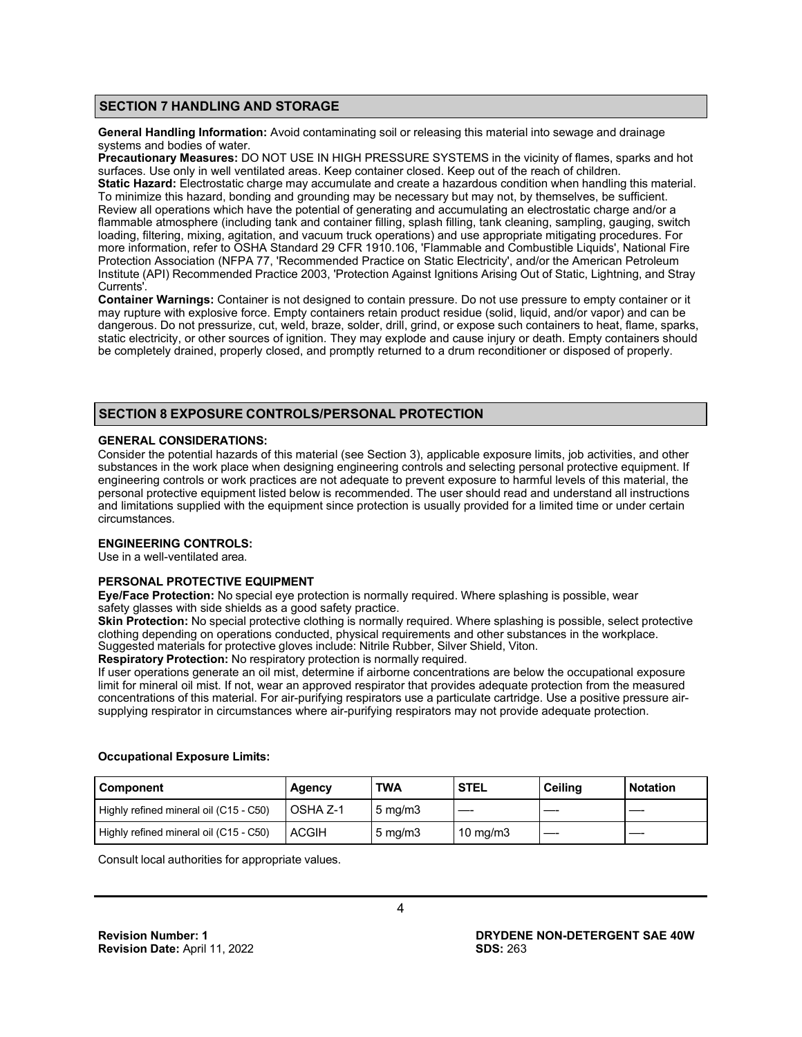### **SECTION 7 HANDLING AND STORAGE**

**General Handling Information:** Avoid contaminating soil or releasing this material into sewage and drainage systems and bodies of water.

**Precautionary Measures:** DO NOT USE IN HIGH PRESSURE SYSTEMS in the vicinity of flames, sparks and hot surfaces. Use only in well ventilated areas. Keep container closed. Keep out of the reach of children. **Static Hazard:** Electrostatic charge may accumulate and create a hazardous condition when handling this material. To minimize this hazard, bonding and grounding may be necessary but may not, by themselves, be sufficient. Review all operations which have the potential of generating and accumulating an electrostatic charge and/or a flammable atmosphere (including tank and container filling, splash filling, tank cleaning, sampling, gauging, switch loading, filtering, mixing, agitation, and vacuum truck operations) and use appropriate mitigating procedures. For more information, refer to OSHA Standard 29 CFR 1910.106, 'Flammable and Combustible Liquids', National Fire Protection Association (NFPA 77, 'Recommended Practice on Static Electricity', and/or the American Petroleum Institute (API) Recommended Practice 2003, 'Protection Against Ignitions Arising Out of Static, Lightning, and Stray Currents'.

**Container Warnings:** Container is not designed to contain pressure. Do not use pressure to empty container or it may rupture with explosive force. Empty containers retain product residue (solid, liquid, and/or vapor) and can be dangerous. Do not pressurize, cut, weld, braze, solder, drill, grind, or expose such containers to heat, flame, sparks, static electricity, or other sources of ignition. They may explode and cause injury or death. Empty containers should be completely drained, properly closed, and promptly returned to a drum reconditioner or disposed of properly.

# **SECTION 8 EXPOSURE CONTROLS/PERSONAL PROTECTION**

### **GENERAL CONSIDERATIONS:**

Consider the potential hazards of this material (see Section 3), applicable exposure limits, job activities, and other substances in the work place when designing engineering controls and selecting personal protective equipment. If engineering controls or work practices are not adequate to prevent exposure to harmful levels of this material, the personal protective equipment listed below is recommended. The user should read and understand all instructions and limitations supplied with the equipment since protection is usually provided for a limited time or under certain circumstances.

### **ENGINEERING CONTROLS:**

Use in a well-ventilated area.

# **PERSONAL PROTECTIVE EQUIPMENT**

**Eye/Face Protection:** No special eye protection is normally required. Where splashing is possible, wear safety glasses with side shields as a good safety practice.

**Skin Protection:** No special protective clothing is normally required. Where splashing is possible, select protective clothing depending on operations conducted, physical requirements and other substances in the workplace. Suggested materials for protective gloves include: Nitrile Rubber, Silver Shield, Viton.

**Respiratory Protection:** No respiratory protection is normally required.

If user operations generate an oil mist, determine if airborne concentrations are below the occupational exposure limit for mineral oil mist. If not, wear an approved respirator that provides adequate protection from the measured concentrations of this material. For air-purifying respirators use a particulate cartridge. Use a positive pressure airsupplying respirator in circumstances where air-purifying respirators may not provide adequate protection.

# **Component Agency TWA STEL Ceiling Notation** Highly refined mineral oil (C15 - C50)  $\vert$  OSHA Z-1  $\vert$  5 mg/m3 Highly refined mineral oil (C15 - C50)  $\vert$  ACGIH  $\vert$  5 mg/m3  $\vert$  10 mg/m3

**Occupational Exposure Limits:**

Consult local authorities for appropriate values.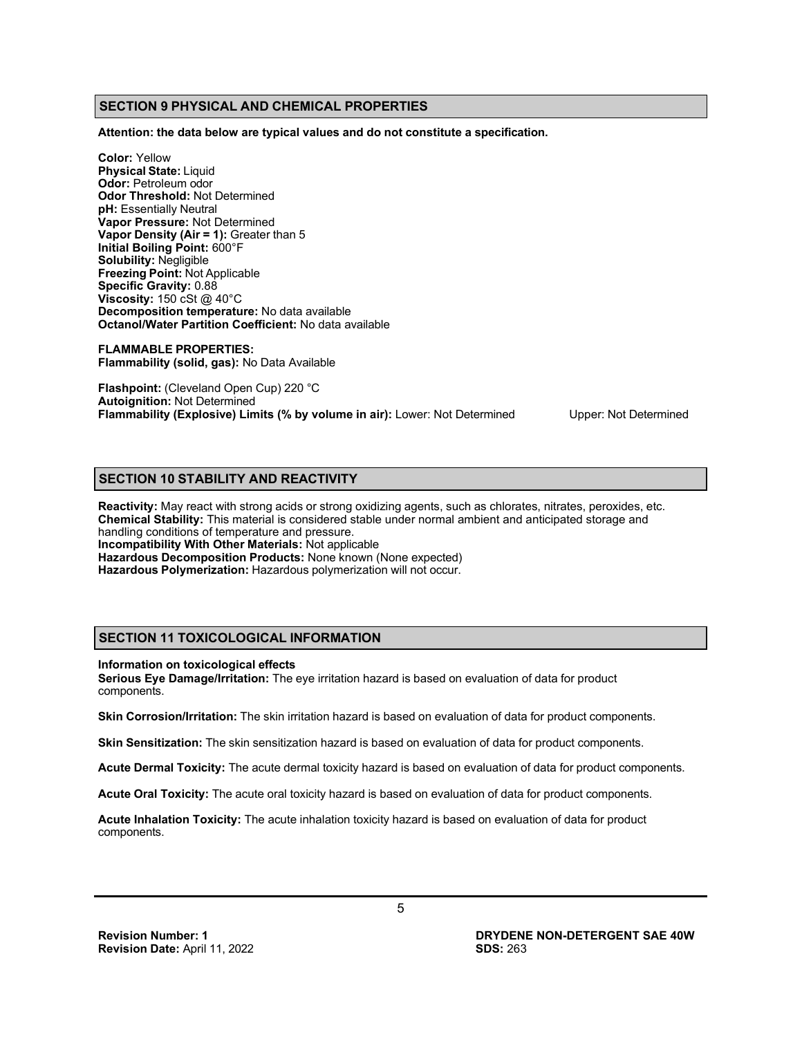# **SECTION 9 PHYSICAL AND CHEMICAL PROPERTIES**

**Attention: the data below are typical values and do not constitute a specification.**

**Color:** Yellow **Physical State:** Liquid **Odor:** Petroleum odor **Odor Threshold:** Not Determined **pH:** Essentially Neutral **Vapor Pressure:** Not Determined **Vapor Density (Air = 1):** Greater than 5 **Initial Boiling Point:** 600°F **Solubility:** Negligible **Freezing Point:** Not Applicable **Specific Gravity:** 0.88 **Viscosity:** 150 cSt @ 40°C **Decomposition temperature:** No data available **Octanol/Water Partition Coefficient:** No data available

**FLAMMABLE PROPERTIES: Flammability (solid, gas):** No Data Available

**Flashpoint:** (Cleveland Open Cup) 220 °C **Autoignition:** Not Determined **Flammability (Explosive) Limits (% by volume in air):** Lower: Not Determined Upper: Not Determined

# **SECTION 10 STABILITY AND REACTIVITY**

**Reactivity:** May react with strong acids or strong oxidizing agents, such as chlorates, nitrates, peroxides, etc. **Chemical Stability:** This material is considered stable under normal ambient and anticipated storage and handling conditions of temperature and pressure. **Incompatibility With Other Materials:** Not applicable **Hazardous Decomposition Products:** None known (None expected) **Hazardous Polymerization:** Hazardous polymerization will not occur.

# **SECTION 11 TOXICOLOGICAL INFORMATION**

#### **Information on toxicological effects**

**Serious Eye Damage/Irritation:** The eye irritation hazard is based on evaluation of data for product components.

**Skin Corrosion/Irritation:** The skin irritation hazard is based on evaluation of data for product components.

**Skin Sensitization:** The skin sensitization hazard is based on evaluation of data for product components.

**Acute Dermal Toxicity:** The acute dermal toxicity hazard is based on evaluation of data for product components.

**Acute Oral Toxicity:** The acute oral toxicity hazard is based on evaluation of data for product components.

**Acute Inhalation Toxicity:** The acute inhalation toxicity hazard is based on evaluation of data for product components.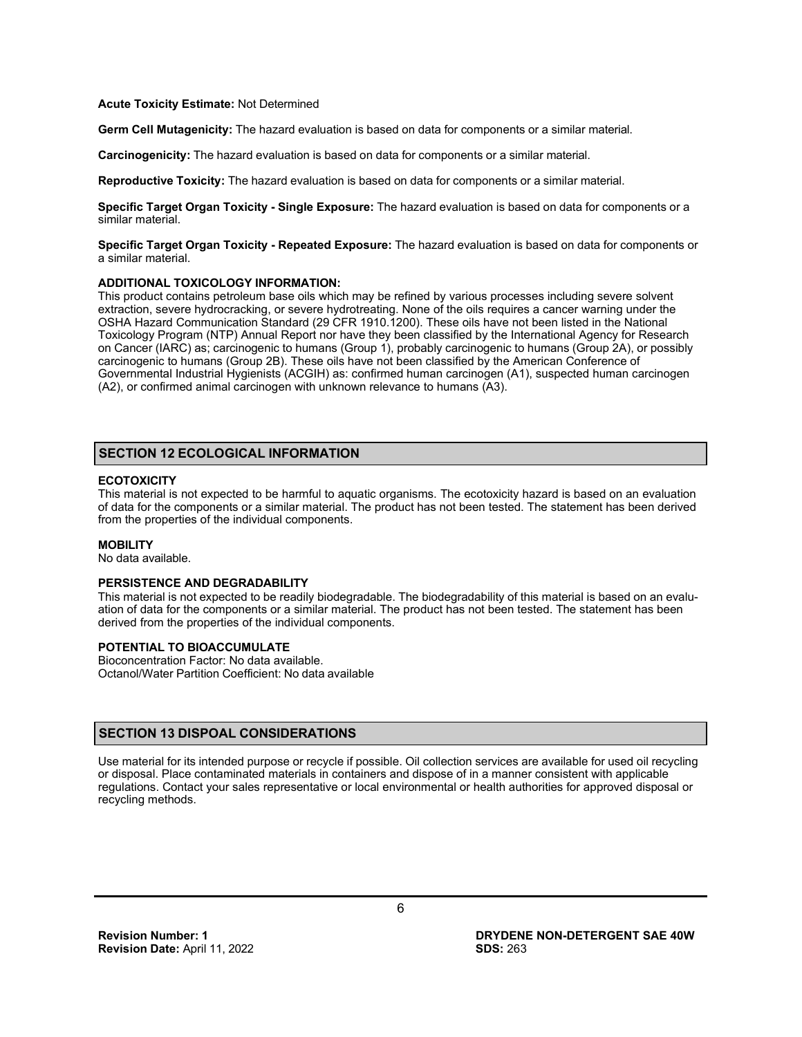#### **Acute Toxicity Estimate:** Not Determined

**Germ Cell Mutagenicity:** The hazard evaluation is based on data for components or a similar material.

**Carcinogenicity:** The hazard evaluation is based on data for components or a similar material.

**Reproductive Toxicity:** The hazard evaluation is based on data for components or a similar material.

**Specific Target Organ Toxicity - Single Exposure:** The hazard evaluation is based on data for components or a similar material.

**Specific Target Organ Toxicity - Repeated Exposure:** The hazard evaluation is based on data for components or a similar material.

#### **ADDITIONAL TOXICOLOGY INFORMATION:**

This product contains petroleum base oils which may be refined by various processes including severe solvent extraction, severe hydrocracking, or severe hydrotreating. None of the oils requires a cancer warning under the OSHA Hazard Communication Standard (29 CFR 1910.1200). These oils have not been listed in the National Toxicology Program (NTP) Annual Report nor have they been classified by the International Agency for Research on Cancer (IARC) as; carcinogenic to humans (Group 1), probably carcinogenic to humans (Group 2A), or possibly carcinogenic to humans (Group 2B). These oils have not been classified by the American Conference of Governmental Industrial Hygienists (ACGIH) as: confirmed human carcinogen (A1), suspected human carcinogen (A2), or confirmed animal carcinogen with unknown relevance to humans (A3).

# **SECTION 12 ECOLOGICAL INFORMATION**

# **ECOTOXICITY**

This material is not expected to be harmful to aquatic organisms. The ecotoxicity hazard is based on an evaluation of data for the components or a similar material. The product has not been tested. The statement has been derived from the properties of the individual components.

#### **MOBILITY**

No data available.

#### **PERSISTENCE AND DEGRADABILITY**

This material is not expected to be readily biodegradable. The biodegradability of this material is based on an evaluation of data for the components or a similar material. The product has not been tested. The statement has been derived from the properties of the individual components.

#### **POTENTIAL TO BIOACCUMULATE**

Bioconcentration Factor: No data available. Octanol/Water Partition Coefficient: No data available

### **SECTION 13 DISPOAL CONSIDERATIONS**

Use material for its intended purpose or recycle if possible. Oil collection services are available for used oil recycling or disposal. Place contaminated materials in containers and dispose of in a manner consistent with applicable regulations. Contact your sales representative or local environmental or health authorities for approved disposal or recycling methods.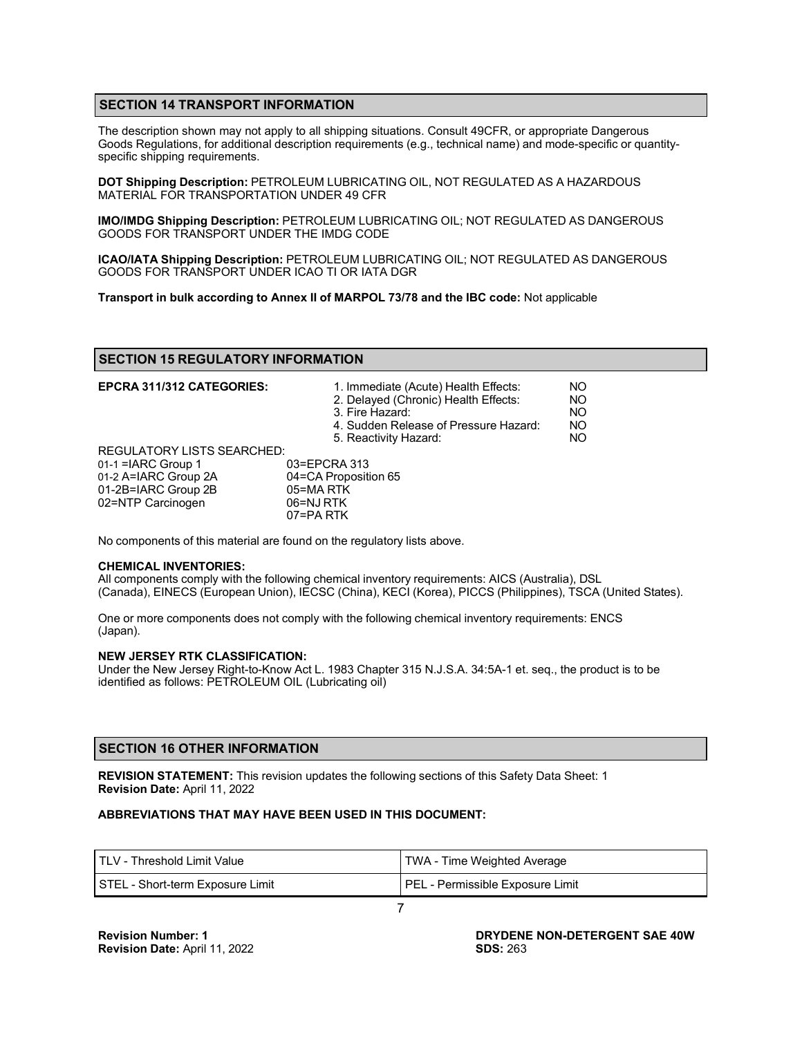# **SECTION 14 TRANSPORT INFORMATION**

The description shown may not apply to all shipping situations. Consult 49CFR, or appropriate Dangerous Goods Regulations, for additional description requirements (e.g., technical name) and mode-specific or quantityspecific shipping requirements.

**DOT Shipping Description:** PETROLEUM LUBRICATING OIL, NOT REGULATED AS A HAZARDOUS MATERIAL FOR TRANSPORTATION UNDER 49 CFR

**IMO/IMDG Shipping Description:** PETROLEUM LUBRICATING OIL; NOT REGULATED AS DANGEROUS GOODS FOR TRANSPORT UNDER THE IMDG CODE

**ICAO/IATA Shipping Description:** PETROLEUM LUBRICATING OIL; NOT REGULATED AS DANGEROUS GOODS FOR TRANSPORT UNDER ICAO TI OR IATA DGR

**Transport in bulk according to Annex II of MARPOL 73/78 and the IBC code:** Not applicable

#### **SECTION 15 REGULATORY INFORMATION**

| EPCRA 311/312 CATEGORIES:         | 1. Immediate (Acute) Health Effects:<br>2. Delayed (Chronic) Health Effects:<br>3. Fire Hazard:<br>4. Sudden Release of Pressure Hazard: | NO<br>NO<br>NO<br>NO |
|-----------------------------------|------------------------------------------------------------------------------------------------------------------------------------------|----------------------|
|                                   | 5. Reactivity Hazard:                                                                                                                    | NO                   |
| <b>REGULATORY LISTS SEARCHED:</b> |                                                                                                                                          |                      |
| $01-1$ = ARC Group 1              | 03=EPCRA 313                                                                                                                             |                      |
| 01-2 A=IARC Group 2A              | 04=CA Proposition 65                                                                                                                     |                      |
| 01-2B=IARC Group 2B               | 05=MA RTK                                                                                                                                |                      |
| 02=NTP Carcinogen                 | 06=NJ RTK                                                                                                                                |                      |
|                                   | 07=PA RTK                                                                                                                                |                      |

No components of this material are found on the regulatory lists above.

#### **CHEMICAL INVENTORIES:**

All components comply with the following chemical inventory requirements: AICS (Australia), DSL (Canada), EINECS (European Union), IECSC (China), KECI (Korea), PICCS (Philippines), TSCA (United States).

One or more components does not comply with the following chemical inventory requirements: ENCS (Japan).

# **NEW JERSEY RTK CLASSIFICATION:**

Under the New Jersey Right-to-Know Act L. 1983 Chapter 315 N.J.S.A. 34:5A-1 et. seq., the product is to be identified as follows: PETROLEUM OIL (Lubricating oil)

# **SECTION 16 OTHER INFORMATION**

**REVISION STATEMENT:** This revision updates the following sections of this Safety Data Sheet: 1 **Revision Date:** April 11, 2022

#### **ABBREVIATIONS THAT MAY HAVE BEEN USED IN THIS DOCUMENT:**

| I TLV - Threshold Limit Value    | TWA - Time Weighted Average      |  |
|----------------------------------|----------------------------------|--|
| STEL - Short-term Exposure Limit | PEL - Permissible Exposure Limit |  |
|                                  |                                  |  |

**DRYDENE NON-DETERGENT SAE 40W SDS:** 263